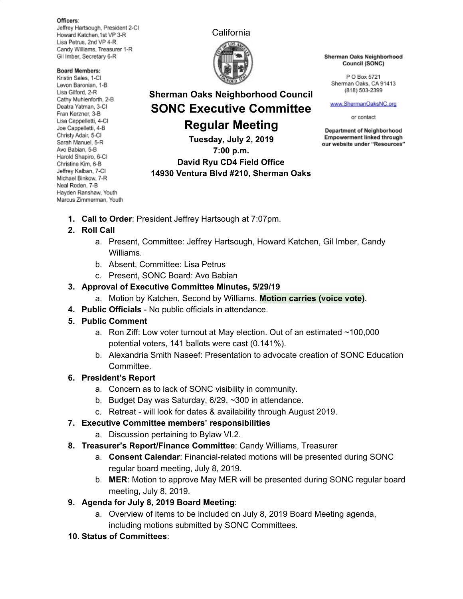#### Officers:

Jeffrey Hartsough, President 2-CI Howard Katchen, 1st VP 3-R Lisa Petrus, 2nd VP 4-R Candy Williams, Treasurer 1-R Gil Imber, Secretary 6-R

#### **Board Members:**

Kristin Sales, 1-Cl Levon Baronian, 1-B Lisa Gilford, 2-R Cathy Muhlenforth, 2-B Deatra Yatman, 3-CI Fran Kerzner, 3-B Lisa Cappelletti, 4-Cl Joe Cappelletti, 4-B Christy Adair, 5-Cl Sarah Manuel, 5-R Avo Babian, 5-B Harold Shapiro, 6-Cl Christine Kim, 6-B Jeffrey Kalban, 7-CI Michael Binkow, 7-R Neal Roden, 7-B Hayden Ranshaw, Youth Marcus Zimmerman, Youth





**Sherman Oaks Neighborhood Council SONC Executive Committee**

**Regular Meeting Tuesday, July 2, 2019 7:00 p.m. David Ryu CD4 Field Office 14930 Ventura Blvd #210, Sherman Oaks** Sherman Oaks Neighborhood Council (SONC)

P O Box 5721 Sherman Oaks, CA 91413 (818) 503-2399

www.ShermanOaksNC.org

or contact

**Department of Neighborhood Empowerment linked through** our website under "Resources"

- 
- **1. Call to Order**: President Jeffrey Hartsough at 7:07pm.

## **2. Roll Call**

- a. Present, Committee: Jeffrey Hartsough, Howard Katchen, Gil Imber, Candy Williams.
- b. Absent, Committee: Lisa Petrus
- c. Present, SONC Board: Avo Babian

### **3. Approval of Executive Committee Minutes, 5/29/19**

- a. Motion by Katchen, Second by Williams. **Motion carries (voice vote)**.
- **4. Public Officials** No public officials in attendance.
- **5. Public Comment**
	- a. Ron Ziff: Low voter turnout at May election. Out of an estimated ~100,000 potential voters, 141 ballots were cast (0.141%).
	- b. Alexandria Smith Naseef: Presentation to advocate creation of SONC Education Committee.

### **6. President's Report**

- a. Concern as to lack of SONC visibility in community.
- b. Budget Day was Saturday, 6/29, ~300 in attendance.
- c. Retreat will look for dates & availability through August 2019.
- **7. Executive Committee members' responsibilities**
	- a. Discussion pertaining to Bylaw VI.2.
- **8. Treasurer's Report/Finance Committee**: Candy Williams, Treasurer
	- a. **Consent Calendar**: Financial-related motions will be presented during SONC regular board meeting, July 8, 2019.
	- b. **MER**: Motion to approve May MER will be presented during SONC regular board meeting, July 8, 2019.
- **9. Agenda for July 8, 2019 Board Meeting**:
	- a. Overview of items to be included on July 8, 2019 Board Meeting agenda, including motions submitted by SONC Committees.
- **10. Status of Committees**: